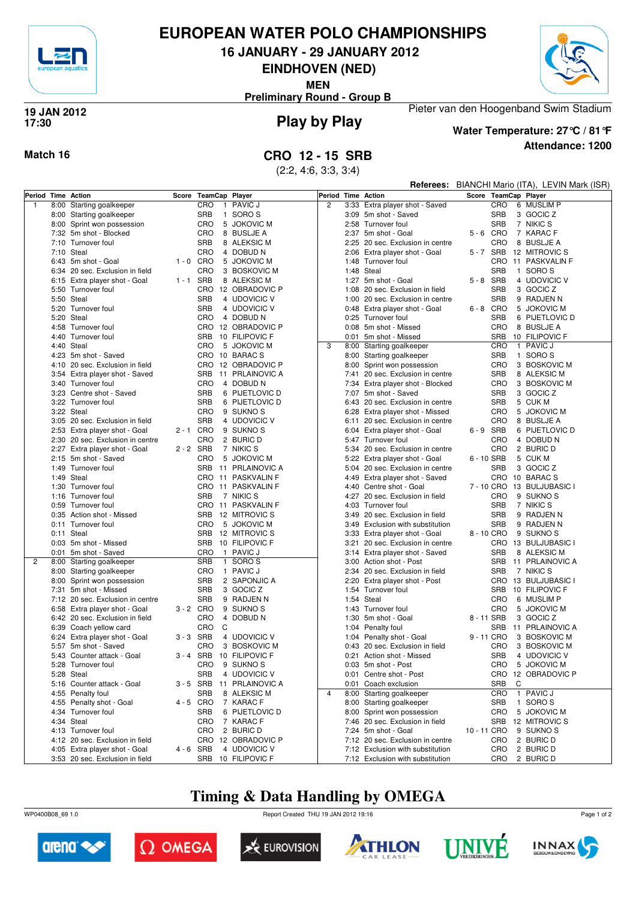

## **EUROPEAN WATER POLO CHAMPIONSHIPS**

**16 JANUARY - 29 JANUARY 2012**

**EINDHOVEN (NED)**

**MEN**

**Preliminary Round - Group B**



### **Play by Play 19 JAN 2012 17:30**



### **Attendance: 1200 Water Temperature: 27°C / 81°F**

Pieter van den Hoogenband Swim Stadium

## **Match 16 CRO 12 - 15 SRB**

(2:2, 4:6, 3:3, 3:4)

|                    |              |                                                                   |             |                          |                                    |                    |              |                                                                      |             |                          | Referees: BIANCHI Mario (ITA), LEVIN Mark (ISR) |  |
|--------------------|--------------|-------------------------------------------------------------------|-------------|--------------------------|------------------------------------|--------------------|--------------|----------------------------------------------------------------------|-------------|--------------------------|-------------------------------------------------|--|
| Period Time Action |              |                                                                   |             | Score TeamCap Player     |                                    | Period Time Action |              |                                                                      |             |                          | Score TeamCap Player                            |  |
| $\mathbf{1}$       |              | 8:00 Starting goalkeeper                                          |             | <b>CRO</b>               | 1 PAVIC J                          | $\overline{c}$     |              | 3:33 Extra player shot - Saved                                       |             | CRO                      | 6 MUSLIM P                                      |  |
|                    |              | 8:00 Starting goalkeeper                                          |             | <b>SRB</b>               | 1 SORO S                           |                    |              | 3:09 5m shot - Saved                                                 |             | <b>SRB</b>               | 3 GOCIC Z                                       |  |
|                    | 8:00         | Sprint won possession                                             |             | CRO<br>5                 | <b>JOKOVIC M</b>                   |                    |              | 2:58 Turnover foul                                                   |             | <b>SRB</b>               | 7 NIKIC S                                       |  |
|                    |              | 7:32 5m shot - Blocked                                            |             | CRO                      | 8 BUSLJE A                         |                    |              | 2:37 5m shot - Goal                                                  |             | 5-6 CRO                  | 7 KARAC F                                       |  |
|                    | 7:10         | Turnover foul                                                     |             | <b>SRB</b>               | 8 ALEKSIC M                        |                    |              | 2:25 20 sec. Exclusion in centre                                     |             | CRO                      | 8 BUSLJE A                                      |  |
|                    |              | 7:10 Steal                                                        |             | CRO                      | 4 DOBUD N                          |                    |              | 2:06 Extra player shot - Goal                                        |             | 5-7 SRB                  | 12 MITROVIC S                                   |  |
|                    |              | 6:43 5m shot - Goal                                               | $1 - 0$ CRO |                          | 5 JOKOVIC M                        |                    | 1:48         | Turnover foul                                                        |             | <b>CRO</b>               | 11 PASKVALIN F                                  |  |
|                    |              | 6:34 20 sec. Exclusion in field                                   |             | CRO                      | 3 BOSKOVIC M                       |                    |              | 1:48 Steal                                                           |             | <b>SRB</b>               | 1 SORO S                                        |  |
|                    |              | 6:15 Extra player shot - Goal                                     | 1-1 SRB     |                          | 8 ALEKSIC M                        |                    | 1:27         | 5m shot - Goal                                                       |             | 5-8 SRB                  | 4 UDOVICIC V                                    |  |
|                    |              | 5:50 Turnover foul                                                |             |                          | CRO 12 OBRADOVIC P                 |                    |              | 1:08 20 sec. Exclusion in field                                      |             | <b>SRB</b>               | 3 GOCIC Z                                       |  |
|                    |              | 5:50 Steal                                                        |             | <b>SRB</b>               | 4 UDOVICIC V                       |                    |              | 1:00 20 sec. Exclusion in centre                                     |             | <b>SRB</b>               | 9 RADJEN N                                      |  |
|                    |              | 5:20 Turnover foul                                                |             | <b>SRB</b>               | 4 UDOVICIC V                       |                    |              | 0:48 Extra player shot - Goal                                        |             | $6 - 8$ CRO              | 5 JOKOVIC M                                     |  |
|                    |              | 5:20 Steal                                                        |             | CRO                      | 4 DOBUD N                          |                    |              | 0:25 Turnover foul                                                   |             | <b>SRB</b>               | 6 PIJETLOVIC D                                  |  |
|                    |              | 4:58 Turnover foul                                                |             |                          | CRO 12 OBRADOVIC P                 |                    |              | 0:08 5m shot - Missed                                                |             | CRO                      | 8 BUSLJE A                                      |  |
|                    |              | 4:40 Turnover foul                                                |             |                          | SRB 10 FILIPOVIC F                 |                    |              | 0:01 5m shot - Missed                                                |             | <b>SRB</b>               | 10 FILIPOVIC F                                  |  |
|                    | 4:40         | Steal                                                             |             | CRO<br>5                 | <b>JOKOVIC M</b>                   | 3                  |              | 8:00 Starting goalkeeper                                             |             | CRO                      | 1 PAVIC J                                       |  |
|                    |              | 4:23 5m shot - Saved                                              |             |                          | CRO 10 BARACS                      |                    |              | 8:00 Starting goalkeeper                                             |             | <b>SRB</b>               | 1 SORO S                                        |  |
|                    |              | 4:10 20 sec. Exclusion in field                                   |             |                          | CRO 12 OBRADOVIC P                 |                    |              | 8:00 Sprint won possession                                           |             | CRO                      | 3 BOSKOVIC M                                    |  |
|                    |              | 3:54 Extra player shot - Saved                                    |             |                          | SRB 11 PRLAINOVIC A                |                    |              | 7:41 20 sec. Exclusion in centre                                     |             | <b>SRB</b>               | 8 ALEKSIC M                                     |  |
|                    |              | 3:40 Turnover foul                                                |             | CRO                      | 4 DOBUD N                          |                    |              | 7:34 Extra player shot - Blocked                                     |             | <b>CRO</b>               | 3 BOSKOVIC M                                    |  |
|                    |              | 3:23 Centre shot - Saved                                          |             | <b>SRB</b>               | 6 PIJETLOVIC D                     |                    |              | 7:07 5m shot - Saved                                                 |             | <b>SRB</b>               | 3 GOCIC Z                                       |  |
|                    |              | 3:22 Turnover foul                                                |             | <b>SRB</b>               | 6 PIJETLOVIC D                     |                    |              | 6:43 20 sec. Exclusion in centre                                     |             | <b>SRB</b>               | 5 CUK M                                         |  |
|                    |              | 3:22 Steal                                                        |             | CRO                      | 9 SUKNO <sub>S</sub>               |                    |              | Extra player shot - Missed                                           |             | CRO                      | 5 JOKOVIC M                                     |  |
|                    |              |                                                                   |             | <b>SRB</b>               |                                    |                    | 6:28         |                                                                      |             |                          |                                                 |  |
|                    |              | 3:05 20 sec. Exclusion in field                                   |             |                          | 4 UDOVICIC V                       |                    | 6:11         | 20 sec. Exclusion in centre                                          |             | CRO<br>6-9 SRB           | 8 BUSLJE A<br>6 PIJETLOVIC D                    |  |
|                    |              | 2:53 Extra player shot - Goal                                     | 2-1 CRO     |                          | 9 SUKNO S                          |                    | 6:04         | Extra player shot - Goal                                             |             | CRO                      |                                                 |  |
|                    |              | 2:30 20 sec. Exclusion in centre                                  |             | CRO                      | 2 BURIC D                          |                    |              | 5:47 Turnover foul                                                   |             |                          | 4 DOBUD N                                       |  |
|                    |              | 2:27 Extra player shot - Goal                                     | 2-2 SRB     |                          | 7 NIKIC S                          |                    |              | 5:34 20 sec. Exclusion in centre                                     |             | CRO                      | 2 BURIC D                                       |  |
|                    |              | 2:15 5m shot - Saved                                              |             | CRO                      | 5 JOKOVIC M<br>SRB 11 PRLAINOVIC A |                    |              | 5:22 Extra player shot - Goal                                        |             | 6 - 10 SRB               | 5 CUK M                                         |  |
|                    |              | 1:49 Turnover foul                                                |             |                          |                                    |                    |              | 5:04 20 sec. Exclusion in centre                                     |             | <b>SRB</b>               | 3 GOCIC Z<br>CRO 10 BARACS                      |  |
|                    |              | 1:49 Steal                                                        |             |                          | CRO 11 PASKVALIN F                 |                    |              | 4:49 Extra player shot - Saved                                       |             |                          |                                                 |  |
|                    | 1:30         | Turnover foul<br>1:16 Turnover foul                               |             |                          | CRO 11 PASKVALIN F                 |                    | 4:40         | Centre shot - Goal                                                   |             | 7 - 10 CRO               | 13 BULJUBASIC I                                 |  |
|                    |              |                                                                   |             | <b>SRB</b>               | 7 NIKIC S                          |                    |              | 4:27 20 sec. Exclusion in field                                      |             | CRO                      | 9 SUKNO <sub>S</sub>                            |  |
|                    |              | 0:59 Turnover foul                                                |             |                          | CRO 11 PASKVALIN F                 |                    |              | 4:03 Turnover foul                                                   |             | <b>SRB</b>               | 7 NIKIC S                                       |  |
|                    |              | 0:35 Action shot - Missed                                         |             |                          | SRB 12 MITROVIC S                  |                    |              | 3:49 20 sec. Exclusion in field                                      |             | <b>SRB</b>               | 9 RADJEN N                                      |  |
|                    |              | 0:11 Turnover foul                                                |             | CRO                      | 5 JOKOVIC M                        |                    | 3:49         | Exclusion with substitution                                          |             | <b>SRB</b>               | 9 RADJEN N                                      |  |
|                    |              | 0:11 Steal                                                        |             |                          | SRB 12 MITROVIC S                  |                    |              | 3:33 Extra player shot - Goal                                        |             | 8 - 10 CRO               | 9 SUKNO <sub>S</sub>                            |  |
|                    |              | 0:03 5m shot - Missed                                             |             |                          | SRB 10 FILIPOVIC F                 |                    | 3:21         | 20 sec. Exclusion in centre                                          |             | CRO                      | 13 BULJUBASIC I                                 |  |
| $\overline{2}$     | 0:01         | 5m shot - Saved                                                   |             | <b>CRO</b><br><b>SRB</b> | 1 PAVIC J<br>1 SORO S              |                    | 3:14<br>3:00 | Extra player shot - Saved                                            |             | <b>SRB</b><br><b>SRB</b> | 8 ALEKSIC M<br>11 PRLAINOVIC A                  |  |
|                    | 8:00         | Starting goalkeeper                                               |             |                          |                                    |                    |              | Action shot - Post                                                   |             |                          |                                                 |  |
|                    | 8:00         | Starting goalkeeper                                               |             | CRO                      | 1 PAVIC J                          |                    |              | 2:34 20 sec. Exclusion in field                                      |             | <b>SRB</b>               | 7 NIKIC S                                       |  |
|                    | 8:00<br>7:31 | Sprint won possession<br>5m shot - Missed                         |             | <b>SRB</b><br><b>SRB</b> | 2 SAPONJIC A<br>3 GOCIC Z          |                    | 2:20<br>1:54 | Extra player shot - Post<br>Turnover foul                            |             | CRO<br><b>SRB</b>        | 13 BULJUBASIC I<br>10 FILIPOVIC F               |  |
|                    |              |                                                                   |             |                          |                                    |                    |              |                                                                      |             |                          |                                                 |  |
|                    |              | 7:12 20 sec. Exclusion in centre<br>6:58 Extra player shot - Goal | 3-2 CRO     | <b>SRB</b>               | 9 RADJEN N<br>9 SUKNO <sub>S</sub> |                    |              | 1:54 Steal<br>1:43 Turnover foul                                     |             | CRO<br>CRO               | 6 MUSLIM P<br>5 JOKOVIC M                       |  |
|                    |              |                                                                   |             |                          | 4 DOBUD N                          |                    |              |                                                                      |             |                          |                                                 |  |
|                    |              | 6:42 20 sec. Exclusion in field                                   |             | CRO<br><b>CRO</b><br>C   |                                    |                    |              | 1:30 5m shot - Goal                                                  |             | 8 - 11 SRB<br><b>SRB</b> | 3 GOCIC Z<br>11 PRLAINOVIC A                    |  |
|                    |              | 6:39 Coach yellow card                                            |             |                          |                                    |                    |              | 1:04 Penalty foul                                                    |             |                          | 3 BOSKOVIC M                                    |  |
|                    |              | 6:24 Extra player shot - Goal                                     | $3 - 3$ SRB |                          | 4 UDOVICIC V<br>3 BOSKOVIC M       |                    |              | 1:04 Penalty shot - Goal                                             |             | 9 - 11 CRO               |                                                 |  |
|                    |              | 5:57 5m shot - Saved                                              |             | CRO                      |                                    |                    |              | 0:43 20 sec. Exclusion in field                                      |             | <b>CRO</b>               | 3 BOSKOVIC M                                    |  |
|                    |              | 5:43 Counter attack - Goal                                        |             |                          | 3 - 4 SRB 10 FILIPOVIC F           |                    |              | 0:21 Action shot - Missed                                            |             | <b>SRB</b>               | 4 UDOVICIC V                                    |  |
|                    |              | 5:28 Turnover foul                                                |             | CRO                      | 9 SUKNO <sub>S</sub>               |                    |              | 0:03 5m shot - Post                                                  |             | CRO                      | 5 JOKOVIC M                                     |  |
|                    |              | 5:28 Steal<br>5:16 Counter attack - Goal                          |             | SRB                      | 4 UDOVICIC V                       |                    |              | 0:01 Centre shot - Post                                              |             |                          | CRO 12 OBRADOVIC P                              |  |
|                    |              | 4:55 Penalty foul                                                 | $3 - 5$ SRB |                          | 11 PRLAINOVIC A<br>8 ALEKSIC M     | $\overline{4}$     |              | 0:01 Coach exclusion                                                 |             | <b>SRB</b>               | C                                               |  |
|                    |              |                                                                   |             | SRB                      |                                    |                    |              | 8:00 Starting goalkeeper                                             |             | CRO                      | 1 PAVIC J                                       |  |
|                    |              | 4:55 Penalty shot - Goal                                          | 4-5 CRO     |                          | 7 KARAC F                          |                    |              | 8:00 Starting goalkeeper                                             |             | <b>SRB</b>               | 1 SORO S                                        |  |
|                    |              | 4:34 Turnover foul                                                |             | SRB                      | 6 PIJETLOVIC D                     |                    |              | 8:00 Sprint won possession                                           |             | <b>CRO</b>               | 5 JOKOVIC M                                     |  |
|                    |              | 4:34 Steal<br>4:13 Turnover foul                                  |             | CRO                      | 7 KARAC F                          |                    |              | 7:46 20 sec. Exclusion in field                                      |             | <b>SRB</b>               | 12 MITROVIC S                                   |  |
|                    |              |                                                                   |             | CRO                      | 2 BURIC D                          |                    |              | 7:24 5m shot - Goal                                                  | 10 - 11 CRO |                          | 9 SUKNO <sub>S</sub><br>2 BURIC D               |  |
|                    |              | 4:12 20 sec. Exclusion in field                                   | $4 - 6$ SRB |                          | CRO 12 OBRADOVIC P<br>4 UDOVICIC V |                    |              | 7:12 20 sec. Exclusion in centre<br>7:12 Exclusion with substitution |             | CRO<br>CRO               | 2 BURIC D                                       |  |
|                    |              | 4:05 Extra player shot - Goal                                     |             |                          |                                    |                    |              |                                                                      |             |                          |                                                 |  |
|                    |              | 3:53 20 sec. Exclusion in field                                   |             |                          | SRB 10 FILIPOVIC F                 |                    |              | 7:12 Exclusion with substitution                                     |             | CRO                      | 2 BURIC D                                       |  |

## **Timing & Data Handling by OMEGA**

WP0400B08\_69 1.0 Report Created THU 19 JAN 2012 19:16













Page 1 of 2